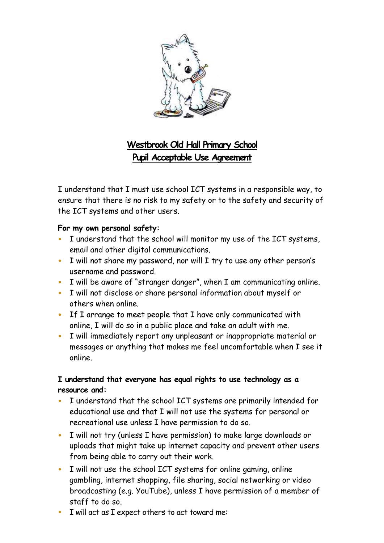

# **Westbrook Old Hall Primary School Pupil Acceptable Use Agreement**

I understand that I must use school ICT systems in a responsible way, to ensure that there is no risk to my safety or to the safety and security of the ICT systems and other users.

#### **For my own personal safety:**

- I understand that the school will monitor my use of the ICT systems, email and other digital communications.
- I will not share my password, nor will I try to use any other person's username and password.
- I will be aware of "stranger danger", when I am communicating online.
- I will not disclose or share personal information about myself or others when online.
- If I arrange to meet people that I have only communicated with online, I will do so in a public place and take an adult with me.
- I will immediately report any unpleasant or inappropriate material or messages or anything that makes me feel uncomfortable when I see it online.

## **I understand that everyone has equal rights to use technology as a resource and:**

- I understand that the school ICT systems are primarily intended for educational use and that I will not use the systems for personal or recreational use unless I have permission to do so.
- I will not try (unless I have permission) to make large downloads or uploads that might take up internet capacity and prevent other users from being able to carry out their work.
- I will not use the school ICT systems for online gaming, online gambling, internet shopping, file sharing, social networking or video broadcasting (e.g. YouTube), unless I have permission of a member of staff to do so.
- I will act as I expect others to act toward me: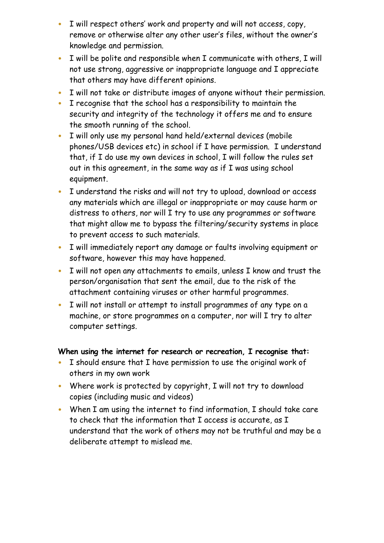- I will respect others' work and property and will not access, copy, remove or otherwise alter any other user's files, without the owner's knowledge and permission.
- I will be polite and responsible when I communicate with others, I will not use strong, aggressive or inappropriate language and I appreciate that others may have different opinions.
- I will not take or distribute images of anyone without their permission.
- I recognise that the school has a responsibility to maintain the security and integrity of the technology it offers me and to ensure the smooth running of the school.
- I will only use my personal hand held/external devices (mobile phones/USB devices etc) in school if I have permission. I understand that, if I do use my own devices in school, I will follow the rules set out in this agreement, in the same way as if I was using school equipment.
- I understand the risks and will not try to upload, download or access any materials which are illegal or inappropriate or may cause harm or distress to others, nor will I try to use any programmes or software that might allow me to bypass the filtering/security systems in place to prevent access to such materials.
- I will immediately report any damage or faults involving equipment or software, however this may have happened.
- I will not open any attachments to emails, unless I know and trust the person/organisation that sent the email, due to the risk of the attachment containing viruses or other harmful programmes.
- I will not install or attempt to install programmes of any type on a machine, or store programmes on a computer, nor will I try to alter computer settings.

## **When using the internet for research or recreation, I recognise that:**

- I should ensure that I have permission to use the original work of others in my own work
- Where work is protected by copyright, I will not try to download copies (including music and videos)
- When I am using the internet to find information, I should take care to check that the information that I access is accurate, as I understand that the work of others may not be truthful and may be a deliberate attempt to mislead me.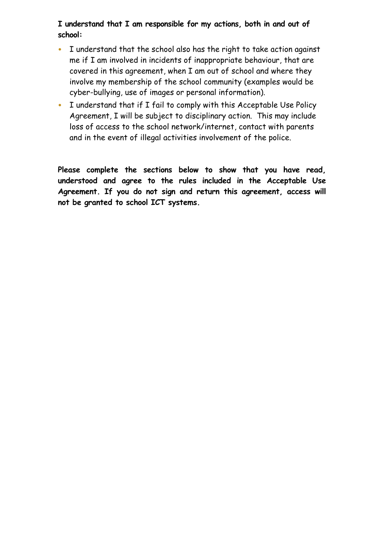#### **I understand that I am responsible for my actions, both in and out of school:**

- I understand that the school also has the right to take action against me if I am involved in incidents of inappropriate behaviour, that are covered in this agreement, when I am out of school and where they involve my membership of the school community (examples would be cyber-bullying, use of images or personal information).
- I understand that if I fail to comply with this Acceptable Use Policy Agreement, I will be subject to disciplinary action. This may include loss of access to the school network/internet, contact with parents and in the event of illegal activities involvement of the police.

**Please complete the sections below to show that you have read, understood and agree to the rules included in the Acceptable Use Agreement. If you do not sign and return this agreement, access will not be granted to school ICT systems.**